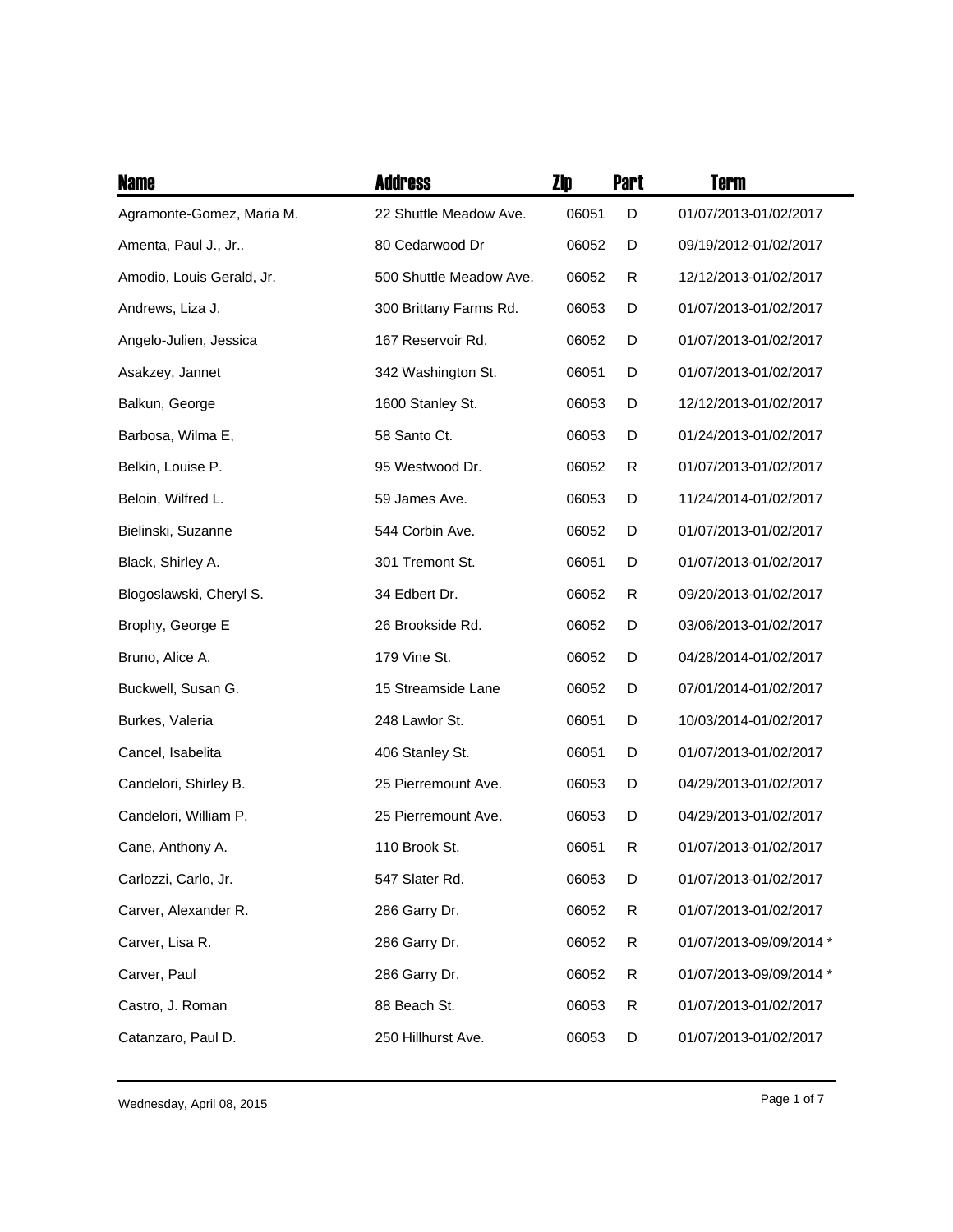| <b>Name</b>               | <b>Address</b>          | Zip   | <b>Part</b> | <b>Term</b>             |
|---------------------------|-------------------------|-------|-------------|-------------------------|
| Agramonte-Gomez, Maria M. | 22 Shuttle Meadow Ave.  | 06051 | D           | 01/07/2013-01/02/2017   |
| Amenta, Paul J., Jr       | 80 Cedarwood Dr         | 06052 | D           | 09/19/2012-01/02/2017   |
| Amodio, Louis Gerald, Jr. | 500 Shuttle Meadow Ave. | 06052 | R           | 12/12/2013-01/02/2017   |
| Andrews, Liza J.          | 300 Brittany Farms Rd.  | 06053 | D           | 01/07/2013-01/02/2017   |
| Angelo-Julien, Jessica    | 167 Reservoir Rd.       | 06052 | D           | 01/07/2013-01/02/2017   |
| Asakzey, Jannet           | 342 Washington St.      | 06051 | D           | 01/07/2013-01/02/2017   |
| Balkun, George            | 1600 Stanley St.        | 06053 | D           | 12/12/2013-01/02/2017   |
| Barbosa, Wilma E,         | 58 Santo Ct.            | 06053 | D           | 01/24/2013-01/02/2017   |
| Belkin, Louise P.         | 95 Westwood Dr.         | 06052 | R           | 01/07/2013-01/02/2017   |
| Beloin, Wilfred L.        | 59 James Ave.           | 06053 | D           | 11/24/2014-01/02/2017   |
| Bielinski, Suzanne        | 544 Corbin Ave.         | 06052 | D           | 01/07/2013-01/02/2017   |
| Black, Shirley A.         | 301 Tremont St.         | 06051 | D           | 01/07/2013-01/02/2017   |
| Blogoslawski, Cheryl S.   | 34 Edbert Dr.           | 06052 | R           | 09/20/2013-01/02/2017   |
| Brophy, George E          | 26 Brookside Rd.        | 06052 | D           | 03/06/2013-01/02/2017   |
| Bruno, Alice A.           | 179 Vine St.            | 06052 | D           | 04/28/2014-01/02/2017   |
| Buckwell, Susan G.        | 15 Streamside Lane      | 06052 | D           | 07/01/2014-01/02/2017   |
| Burkes, Valeria           | 248 Lawlor St.          | 06051 | D           | 10/03/2014-01/02/2017   |
| Cancel, Isabelita         | 406 Stanley St.         | 06051 | D           | 01/07/2013-01/02/2017   |
| Candelori, Shirley B.     | 25 Pierremount Ave.     | 06053 | D           | 04/29/2013-01/02/2017   |
| Candelori, William P.     | 25 Pierremount Ave.     | 06053 | D           | 04/29/2013-01/02/2017   |
| Cane, Anthony A.          | 110 Brook St.           | 06051 | R           | 01/07/2013-01/02/2017   |
| Carlozzi, Carlo, Jr.      | 547 Slater Rd.          | 06053 | D           | 01/07/2013-01/02/2017   |
| Carver, Alexander R.      | 286 Garry Dr.           | 06052 | R           | 01/07/2013-01/02/2017   |
| Carver, Lisa R.           | 286 Garry Dr.           | 06052 | R           | 01/07/2013-09/09/2014 * |
| Carver, Paul              | 286 Garry Dr.           | 06052 | R           | 01/07/2013-09/09/2014 * |
| Castro, J. Roman          | 88 Beach St.            | 06053 | R           | 01/07/2013-01/02/2017   |
| Catanzaro, Paul D.        | 250 Hillhurst Ave.      | 06053 | D           | 01/07/2013-01/02/2017   |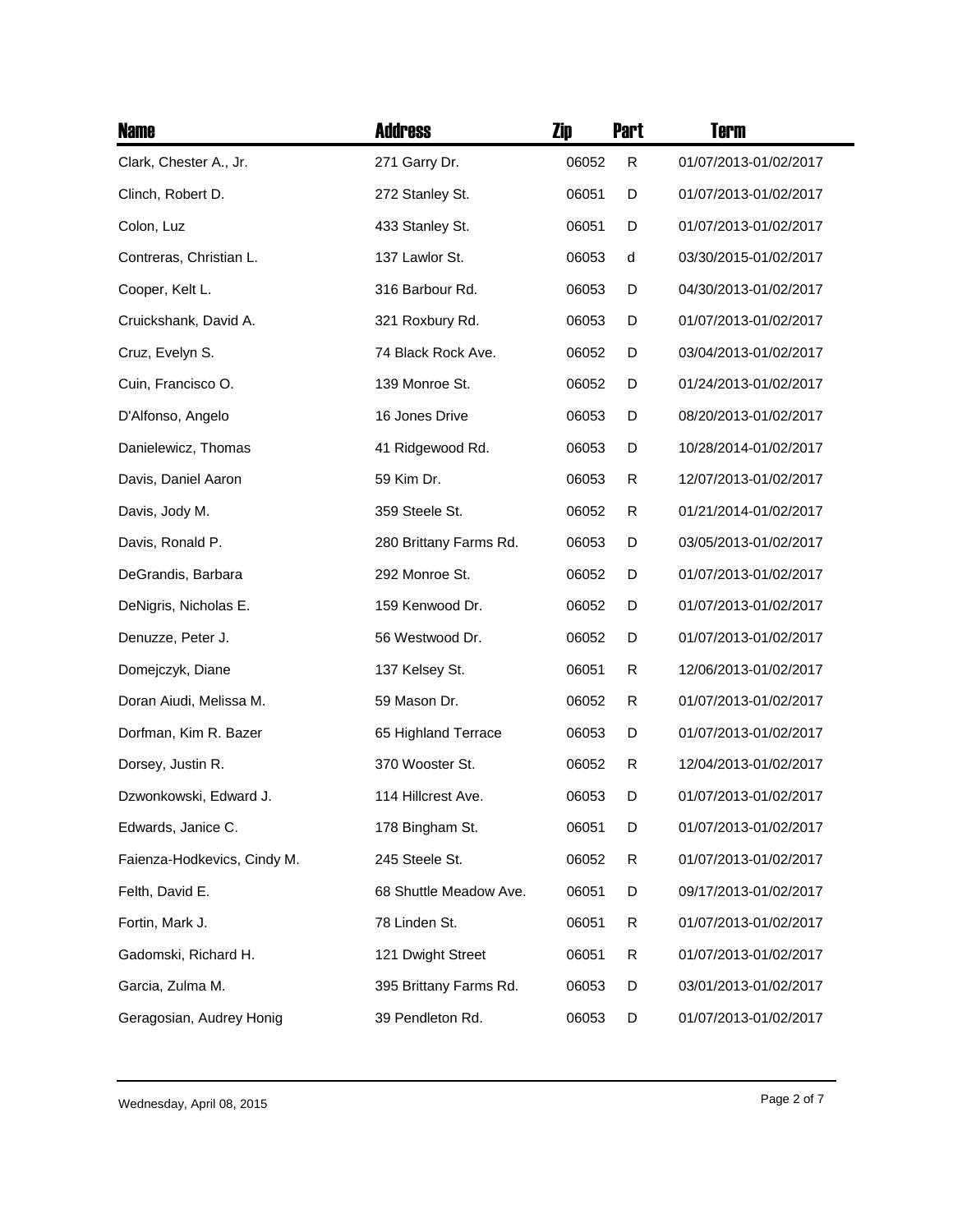| <b>Name</b>                 | <b>Address</b>         | Zip   | <b>Part</b> | <b>Term</b>           |
|-----------------------------|------------------------|-------|-------------|-----------------------|
| Clark, Chester A., Jr.      | 271 Garry Dr.          | 06052 | R           | 01/07/2013-01/02/2017 |
| Clinch, Robert D.           | 272 Stanley St.        | 06051 | D           | 01/07/2013-01/02/2017 |
| Colon, Luz                  | 433 Stanley St.        | 06051 | D           | 01/07/2013-01/02/2017 |
| Contreras, Christian L.     | 137 Lawlor St.         | 06053 | d           | 03/30/2015-01/02/2017 |
| Cooper, Kelt L.             | 316 Barbour Rd.        | 06053 | D           | 04/30/2013-01/02/2017 |
| Cruickshank, David A.       | 321 Roxbury Rd.        | 06053 | D           | 01/07/2013-01/02/2017 |
| Cruz, Evelyn S.             | 74 Black Rock Ave.     | 06052 | D           | 03/04/2013-01/02/2017 |
| Cuin, Francisco O.          | 139 Monroe St.         | 06052 | D           | 01/24/2013-01/02/2017 |
| D'Alfonso, Angelo           | 16 Jones Drive         | 06053 | D           | 08/20/2013-01/02/2017 |
| Danielewicz, Thomas         | 41 Ridgewood Rd.       | 06053 | D           | 10/28/2014-01/02/2017 |
| Davis, Daniel Aaron         | 59 Kim Dr.             | 06053 | R           | 12/07/2013-01/02/2017 |
| Davis, Jody M.              | 359 Steele St.         | 06052 | R           | 01/21/2014-01/02/2017 |
| Davis, Ronald P.            | 280 Brittany Farms Rd. | 06053 | D           | 03/05/2013-01/02/2017 |
| DeGrandis, Barbara          | 292 Monroe St.         | 06052 | D           | 01/07/2013-01/02/2017 |
| DeNigris, Nicholas E.       | 159 Kenwood Dr.        | 06052 | D           | 01/07/2013-01/02/2017 |
| Denuzze, Peter J.           | 56 Westwood Dr.        | 06052 | D           | 01/07/2013-01/02/2017 |
| Domejczyk, Diane            | 137 Kelsey St.         | 06051 | R           | 12/06/2013-01/02/2017 |
| Doran Aiudi, Melissa M.     | 59 Mason Dr.           | 06052 | R           | 01/07/2013-01/02/2017 |
| Dorfman, Kim R. Bazer       | 65 Highland Terrace    | 06053 | D           | 01/07/2013-01/02/2017 |
| Dorsey, Justin R.           | 370 Wooster St.        | 06052 | R           | 12/04/2013-01/02/2017 |
| Dzwonkowski, Edward J.      | 114 Hillcrest Ave.     | 06053 | D           | 01/07/2013-01/02/2017 |
| Edwards, Janice C.          | 178 Bingham St.        | 06051 | D           | 01/07/2013-01/02/2017 |
| Faienza-Hodkevics, Cindy M. | 245 Steele St.         | 06052 | R           | 01/07/2013-01/02/2017 |
| Felth, David E.             | 68 Shuttle Meadow Ave. | 06051 | D           | 09/17/2013-01/02/2017 |
| Fortin, Mark J.             | 78 Linden St.          | 06051 | R           | 01/07/2013-01/02/2017 |
| Gadomski, Richard H.        | 121 Dwight Street      | 06051 | R           | 01/07/2013-01/02/2017 |
| Garcia, Zulma M.            | 395 Brittany Farms Rd. | 06053 | D           | 03/01/2013-01/02/2017 |
| Geragosian, Audrey Honig    | 39 Pendleton Rd.       | 06053 | D           | 01/07/2013-01/02/2017 |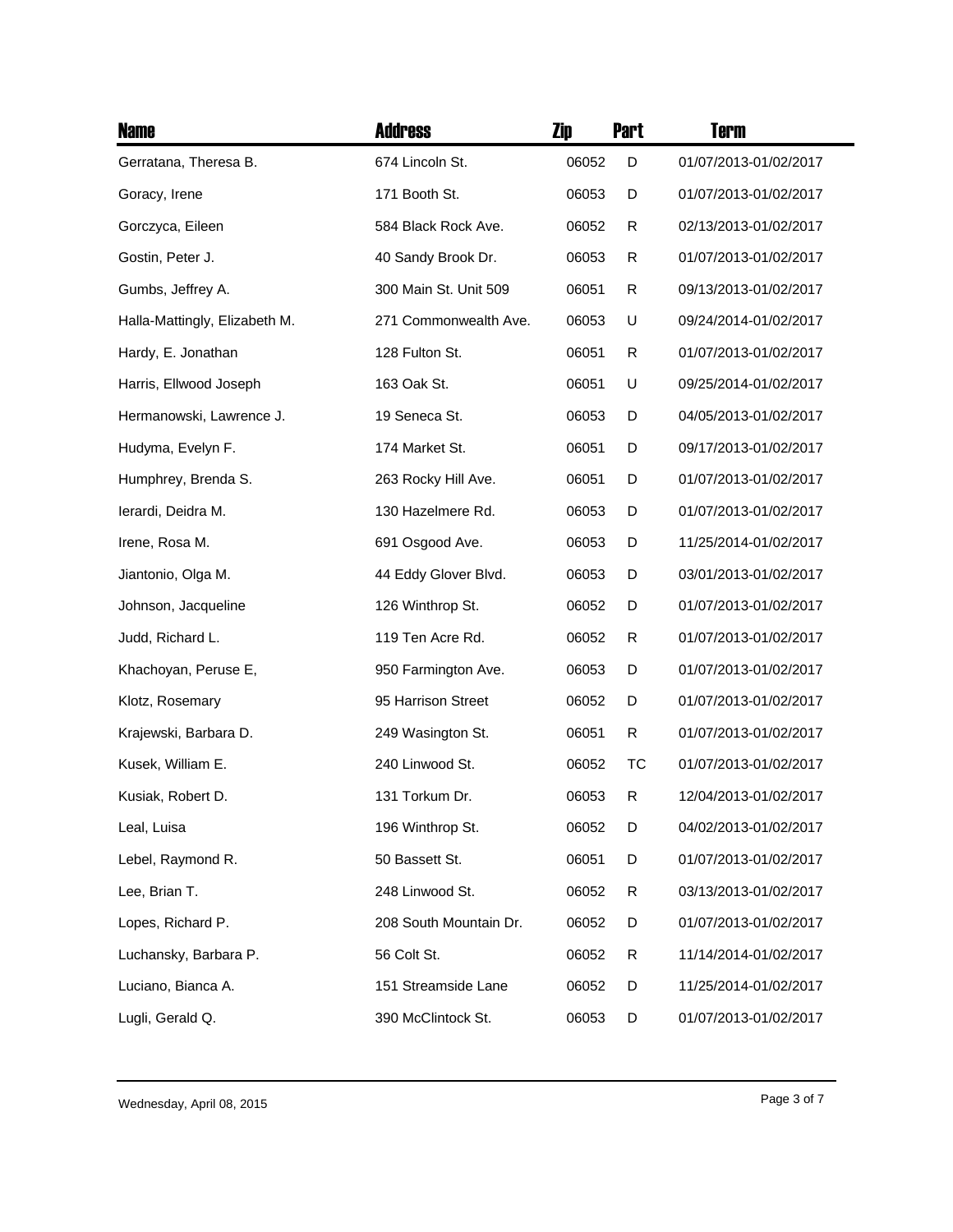| <b>Name</b>                   | <b>Address</b>         | Zip   | <b>Part</b>  | <b>Term</b>           |
|-------------------------------|------------------------|-------|--------------|-----------------------|
| Gerratana, Theresa B.         | 674 Lincoln St.        | 06052 | D            | 01/07/2013-01/02/2017 |
| Goracy, Irene                 | 171 Booth St.          | 06053 | D            | 01/07/2013-01/02/2017 |
| Gorczyca, Eileen              | 584 Black Rock Ave.    | 06052 | R            | 02/13/2013-01/02/2017 |
| Gostin, Peter J.              | 40 Sandy Brook Dr.     | 06053 | R            | 01/07/2013-01/02/2017 |
| Gumbs, Jeffrey A.             | 300 Main St. Unit 509  | 06051 | $\mathsf{R}$ | 09/13/2013-01/02/2017 |
| Halla-Mattingly, Elizabeth M. | 271 Commonwealth Ave.  | 06053 | U            | 09/24/2014-01/02/2017 |
| Hardy, E. Jonathan            | 128 Fulton St.         | 06051 | R            | 01/07/2013-01/02/2017 |
| Harris, Ellwood Joseph        | 163 Oak St.            | 06051 | U            | 09/25/2014-01/02/2017 |
| Hermanowski, Lawrence J.      | 19 Seneca St.          | 06053 | D            | 04/05/2013-01/02/2017 |
| Hudyma, Evelyn F.             | 174 Market St.         | 06051 | D            | 09/17/2013-01/02/2017 |
| Humphrey, Brenda S.           | 263 Rocky Hill Ave.    | 06051 | D            | 01/07/2013-01/02/2017 |
| Ierardi, Deidra M.            | 130 Hazelmere Rd.      | 06053 | D            | 01/07/2013-01/02/2017 |
| Irene, Rosa M.                | 691 Osgood Ave.        | 06053 | D            | 11/25/2014-01/02/2017 |
| Jiantonio, Olga M.            | 44 Eddy Glover Blvd.   | 06053 | D            | 03/01/2013-01/02/2017 |
| Johnson, Jacqueline           | 126 Winthrop St.       | 06052 | D            | 01/07/2013-01/02/2017 |
| Judd, Richard L.              | 119 Ten Acre Rd.       | 06052 | R            | 01/07/2013-01/02/2017 |
| Khachoyan, Peruse E,          | 950 Farmington Ave.    | 06053 | D            | 01/07/2013-01/02/2017 |
| Klotz, Rosemary               | 95 Harrison Street     | 06052 | D            | 01/07/2013-01/02/2017 |
| Krajewski, Barbara D.         | 249 Wasington St.      | 06051 | R            | 01/07/2013-01/02/2017 |
| Kusek, William E.             | 240 Linwood St.        | 06052 | тс           | 01/07/2013-01/02/2017 |
| Kusiak, Robert D.             | 131 Torkum Dr.         | 06053 | R            | 12/04/2013-01/02/2017 |
| Leal, Luisa                   | 196 Winthrop St.       | 06052 | D            | 04/02/2013-01/02/2017 |
| Lebel, Raymond R.             | 50 Bassett St.         | 06051 | D            | 01/07/2013-01/02/2017 |
| Lee, Brian T.                 | 248 Linwood St.        | 06052 | R            | 03/13/2013-01/02/2017 |
| Lopes, Richard P.             | 208 South Mountain Dr. | 06052 | D            | 01/07/2013-01/02/2017 |
| Luchansky, Barbara P.         | 56 Colt St.            | 06052 | R            | 11/14/2014-01/02/2017 |
| Luciano, Bianca A.            | 151 Streamside Lane    | 06052 | D            | 11/25/2014-01/02/2017 |
| Lugli, Gerald Q.              | 390 McClintock St.     | 06053 | D            | 01/07/2013-01/02/2017 |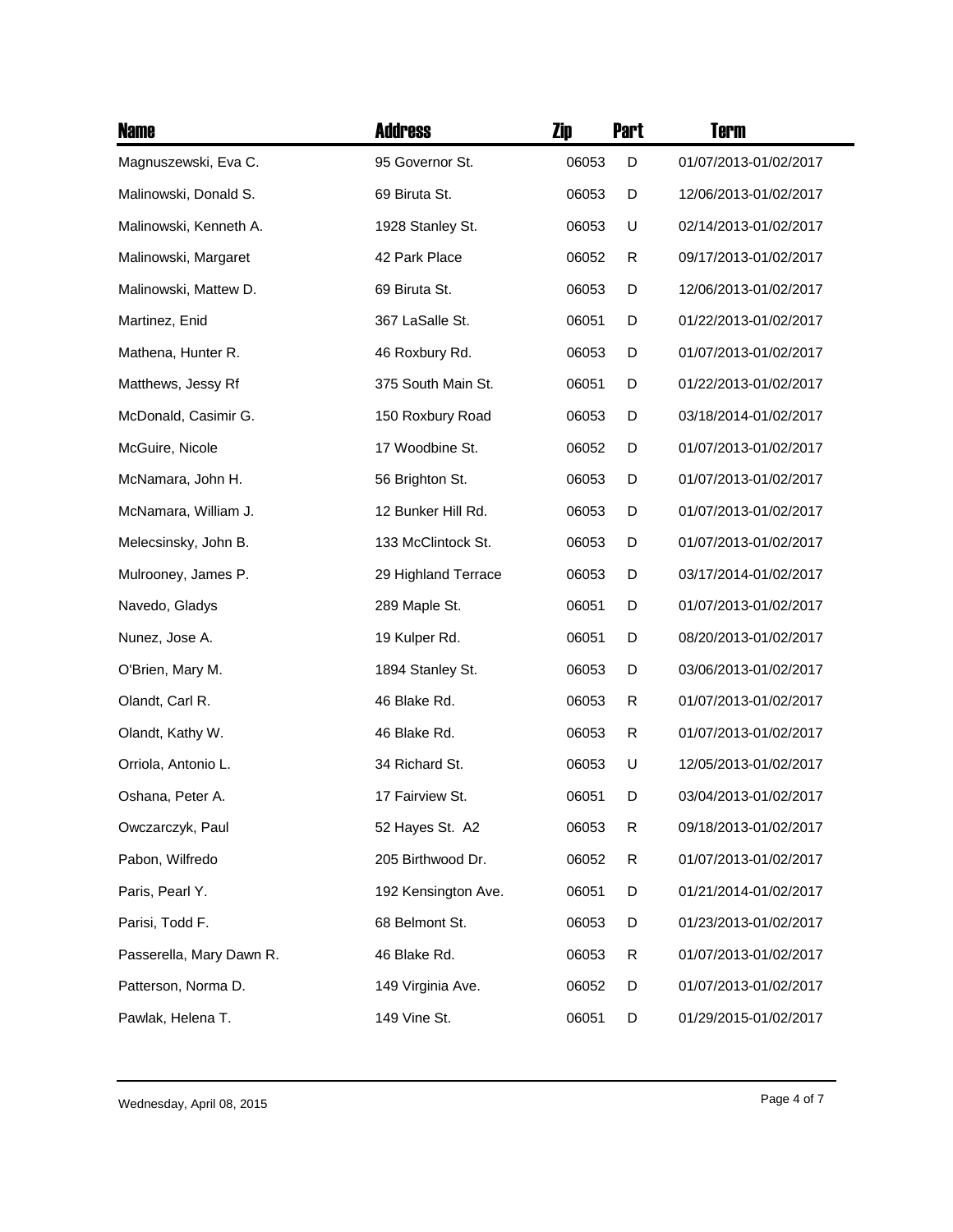| <b>Name</b>              | <b>Address</b>      | Zip   | <b>Part</b> | Term                  |
|--------------------------|---------------------|-------|-------------|-----------------------|
| Magnuszewski, Eva C.     | 95 Governor St.     | 06053 | D           | 01/07/2013-01/02/2017 |
| Malinowski, Donald S.    | 69 Biruta St.       | 06053 | D           | 12/06/2013-01/02/2017 |
| Malinowski, Kenneth A.   | 1928 Stanley St.    | 06053 | U           | 02/14/2013-01/02/2017 |
| Malinowski, Margaret     | 42 Park Place       | 06052 | R           | 09/17/2013-01/02/2017 |
| Malinowski, Mattew D.    | 69 Biruta St.       | 06053 | D           | 12/06/2013-01/02/2017 |
| Martinez, Enid           | 367 LaSalle St.     | 06051 | D           | 01/22/2013-01/02/2017 |
| Mathena, Hunter R.       | 46 Roxbury Rd.      | 06053 | D           | 01/07/2013-01/02/2017 |
| Matthews, Jessy Rf       | 375 South Main St.  | 06051 | D           | 01/22/2013-01/02/2017 |
| McDonald, Casimir G.     | 150 Roxbury Road    | 06053 | D           | 03/18/2014-01/02/2017 |
| McGuire, Nicole          | 17 Woodbine St.     | 06052 | D           | 01/07/2013-01/02/2017 |
| McNamara, John H.        | 56 Brighton St.     | 06053 | D           | 01/07/2013-01/02/2017 |
| McNamara, William J.     | 12 Bunker Hill Rd.  | 06053 | D           | 01/07/2013-01/02/2017 |
| Melecsinsky, John B.     | 133 McClintock St.  | 06053 | D           | 01/07/2013-01/02/2017 |
| Mulrooney, James P.      | 29 Highland Terrace | 06053 | D           | 03/17/2014-01/02/2017 |
| Navedo, Gladys           | 289 Maple St.       | 06051 | D           | 01/07/2013-01/02/2017 |
| Nunez, Jose A.           | 19 Kulper Rd.       | 06051 | D           | 08/20/2013-01/02/2017 |
| O'Brien, Mary M.         | 1894 Stanley St.    | 06053 | D           | 03/06/2013-01/02/2017 |
| Olandt, Carl R.          | 46 Blake Rd.        | 06053 | R           | 01/07/2013-01/02/2017 |
| Olandt, Kathy W.         | 46 Blake Rd.        | 06053 | R           | 01/07/2013-01/02/2017 |
| Orriola, Antonio L.      | 34 Richard St.      | 06053 | U           | 12/05/2013-01/02/2017 |
| Oshana, Peter A.         | 17 Fairview St.     | 06051 | D           | 03/04/2013-01/02/2017 |
| Owczarczyk, Paul         | 52 Hayes St. A2     | 06053 | R           | 09/18/2013-01/02/2017 |
| Pabon, Wilfredo          | 205 Birthwood Dr.   | 06052 | R           | 01/07/2013-01/02/2017 |
| Paris, Pearl Y.          | 192 Kensington Ave. | 06051 | D           | 01/21/2014-01/02/2017 |
| Parisi, Todd F.          | 68 Belmont St.      | 06053 | D           | 01/23/2013-01/02/2017 |
| Passerella, Mary Dawn R. | 46 Blake Rd.        | 06053 | R           | 01/07/2013-01/02/2017 |
| Patterson, Norma D.      | 149 Virginia Ave.   | 06052 | D           | 01/07/2013-01/02/2017 |
| Pawlak, Helena T.        | 149 Vine St.        | 06051 | D           | 01/29/2015-01/02/2017 |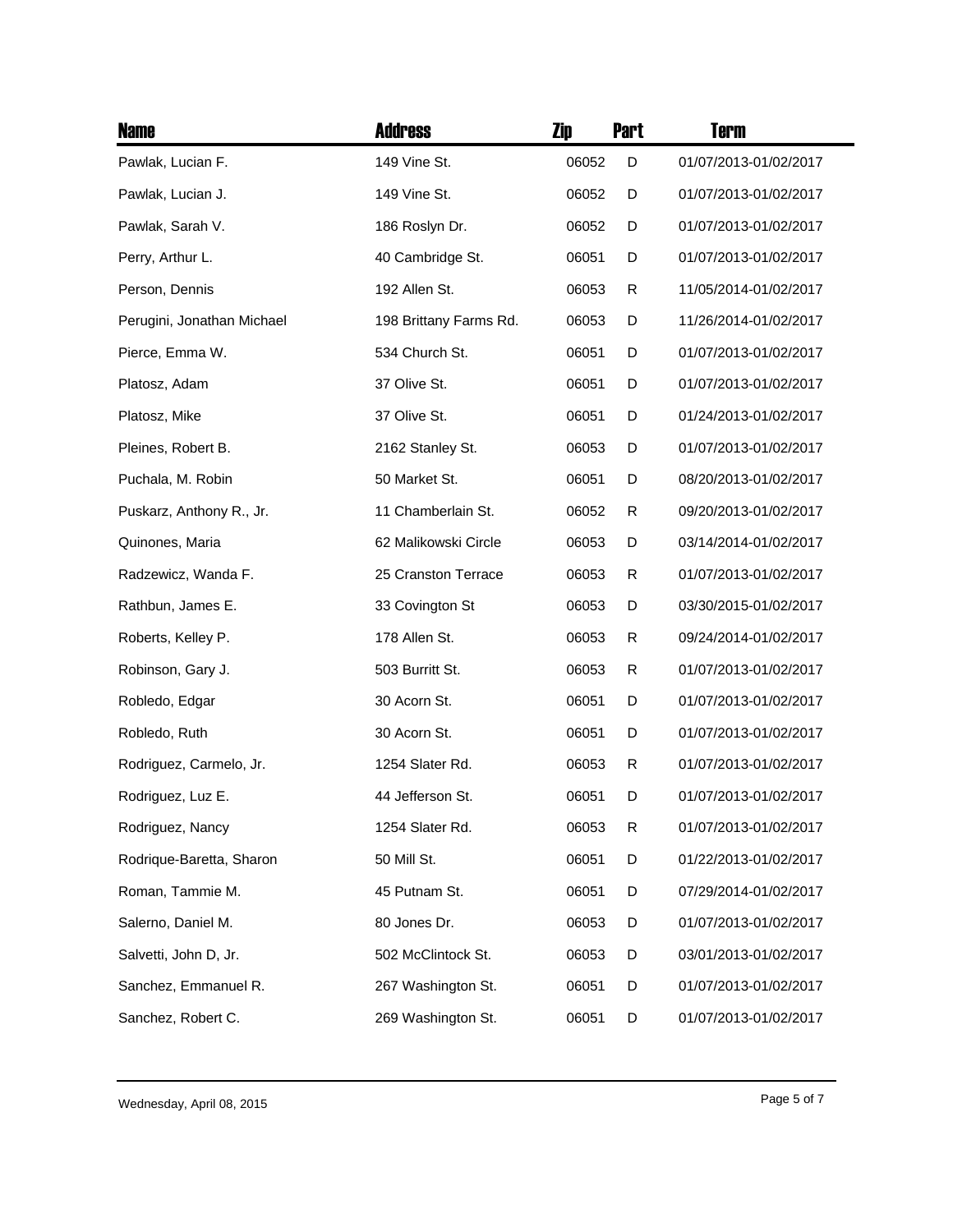| <b>Name</b>                | <b>Address</b>         | Zip   | <b>Part</b> | <b>Term</b>           |
|----------------------------|------------------------|-------|-------------|-----------------------|
| Pawlak, Lucian F.          | 149 Vine St.           | 06052 | D           | 01/07/2013-01/02/2017 |
| Pawlak, Lucian J.          | 149 Vine St.           | 06052 | D           | 01/07/2013-01/02/2017 |
| Pawlak, Sarah V.           | 186 Roslyn Dr.         | 06052 | D           | 01/07/2013-01/02/2017 |
| Perry, Arthur L.           | 40 Cambridge St.       | 06051 | D           | 01/07/2013-01/02/2017 |
| Person, Dennis             | 192 Allen St.          | 06053 | R           | 11/05/2014-01/02/2017 |
| Perugini, Jonathan Michael | 198 Brittany Farms Rd. | 06053 | D           | 11/26/2014-01/02/2017 |
| Pierce, Emma W.            | 534 Church St.         | 06051 | D           | 01/07/2013-01/02/2017 |
| Platosz, Adam              | 37 Olive St.           | 06051 | D           | 01/07/2013-01/02/2017 |
| Platosz, Mike              | 37 Olive St.           | 06051 | D           | 01/24/2013-01/02/2017 |
| Pleines, Robert B.         | 2162 Stanley St.       | 06053 | D           | 01/07/2013-01/02/2017 |
| Puchala, M. Robin          | 50 Market St.          | 06051 | D           | 08/20/2013-01/02/2017 |
| Puskarz, Anthony R., Jr.   | 11 Chamberlain St.     | 06052 | R           | 09/20/2013-01/02/2017 |
| Quinones, Maria            | 62 Malikowski Circle   | 06053 | D           | 03/14/2014-01/02/2017 |
| Radzewicz, Wanda F.        | 25 Cranston Terrace    | 06053 | R           | 01/07/2013-01/02/2017 |
| Rathbun, James E.          | 33 Covington St        | 06053 | D           | 03/30/2015-01/02/2017 |
| Roberts, Kelley P.         | 178 Allen St.          | 06053 | R           | 09/24/2014-01/02/2017 |
| Robinson, Gary J.          | 503 Burritt St.        | 06053 | R           | 01/07/2013-01/02/2017 |
| Robledo, Edgar             | 30 Acorn St.           | 06051 | D           | 01/07/2013-01/02/2017 |
| Robledo, Ruth              | 30 Acorn St.           | 06051 | D           | 01/07/2013-01/02/2017 |
| Rodriguez, Carmelo, Jr.    | 1254 Slater Rd.        | 06053 | R           | 01/07/2013-01/02/2017 |
| Rodriguez, Luz E.          | 44 Jefferson St.       | 06051 | D           | 01/07/2013-01/02/2017 |
| Rodriguez, Nancy           | 1254 Slater Rd.        | 06053 | R           | 01/07/2013-01/02/2017 |
| Rodrique-Baretta, Sharon   | 50 Mill St.            | 06051 | D           | 01/22/2013-01/02/2017 |
| Roman, Tammie M.           | 45 Putnam St.          | 06051 | D           | 07/29/2014-01/02/2017 |
| Salerno, Daniel M.         | 80 Jones Dr.           | 06053 | D           | 01/07/2013-01/02/2017 |
| Salvetti, John D, Jr.      | 502 McClintock St.     | 06053 | D           | 03/01/2013-01/02/2017 |
| Sanchez, Emmanuel R.       | 267 Washington St.     | 06051 | D           | 01/07/2013-01/02/2017 |
| Sanchez, Robert C.         | 269 Washington St.     | 06051 | D           | 01/07/2013-01/02/2017 |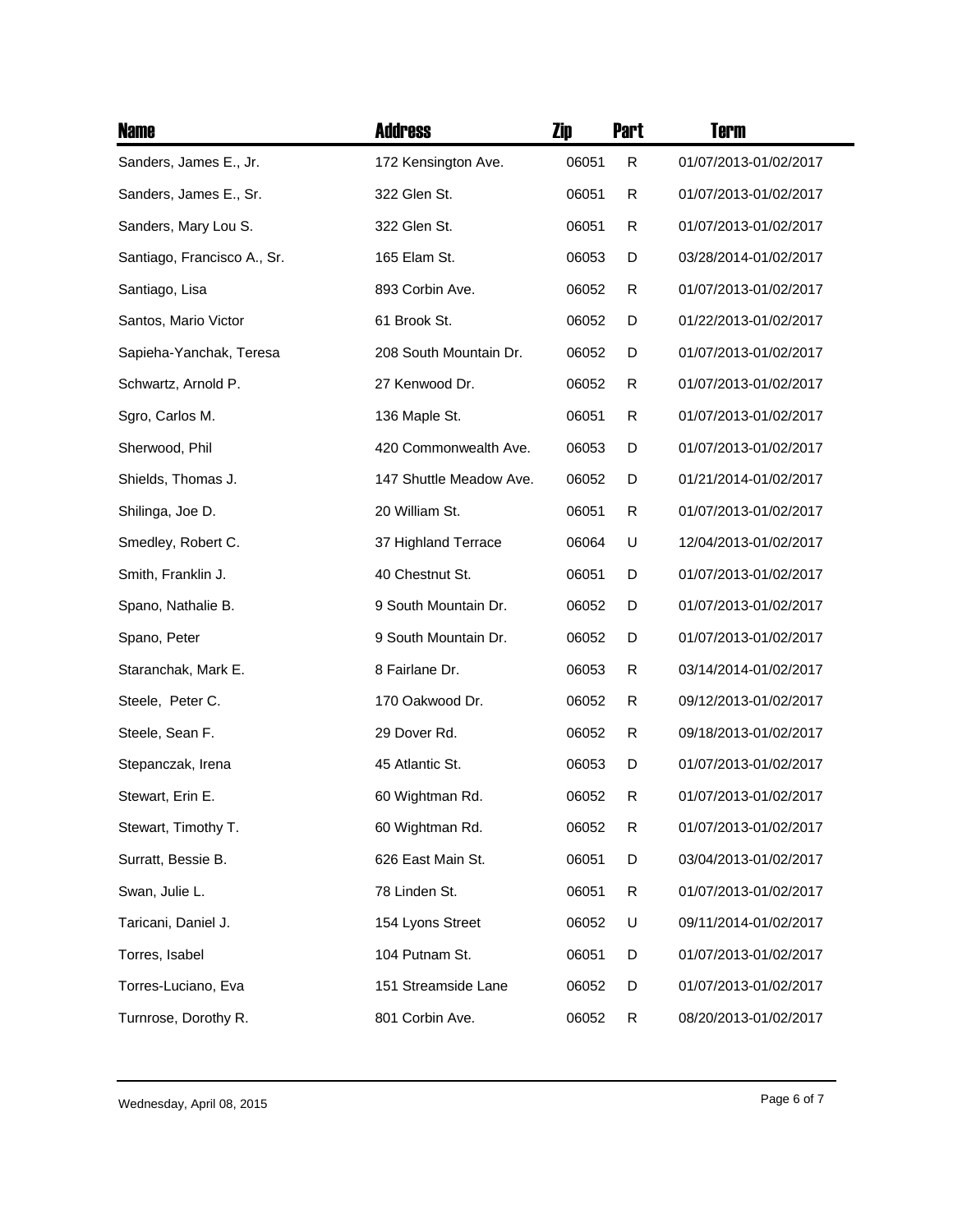| <b>Name</b>                 | <b>Address</b>          | Zip   | <b>Part</b> | Term                  |
|-----------------------------|-------------------------|-------|-------------|-----------------------|
| Sanders, James E., Jr.      | 172 Kensington Ave.     | 06051 | R           | 01/07/2013-01/02/2017 |
| Sanders, James E., Sr.      | 322 Glen St.            | 06051 | R           | 01/07/2013-01/02/2017 |
| Sanders, Mary Lou S.        | 322 Glen St.            | 06051 | R           | 01/07/2013-01/02/2017 |
| Santiago, Francisco A., Sr. | 165 Elam St.            | 06053 | D           | 03/28/2014-01/02/2017 |
| Santiago, Lisa              | 893 Corbin Ave.         | 06052 | R           | 01/07/2013-01/02/2017 |
| Santos, Mario Victor        | 61 Brook St.            | 06052 | D           | 01/22/2013-01/02/2017 |
| Sapieha-Yanchak, Teresa     | 208 South Mountain Dr.  | 06052 | D           | 01/07/2013-01/02/2017 |
| Schwartz, Arnold P.         | 27 Kenwood Dr.          | 06052 | R           | 01/07/2013-01/02/2017 |
| Sgro, Carlos M.             | 136 Maple St.           | 06051 | R           | 01/07/2013-01/02/2017 |
| Sherwood, Phil              | 420 Commonwealth Ave.   | 06053 | D           | 01/07/2013-01/02/2017 |
| Shields, Thomas J.          | 147 Shuttle Meadow Ave. | 06052 | D           | 01/21/2014-01/02/2017 |
| Shilinga, Joe D.            | 20 William St.          | 06051 | R           | 01/07/2013-01/02/2017 |
| Smedley, Robert C.          | 37 Highland Terrace     | 06064 | U           | 12/04/2013-01/02/2017 |
| Smith, Franklin J.          | 40 Chestnut St.         | 06051 | D           | 01/07/2013-01/02/2017 |
| Spano, Nathalie B.          | 9 South Mountain Dr.    | 06052 | D           | 01/07/2013-01/02/2017 |
| Spano, Peter                | 9 South Mountain Dr.    | 06052 | D           | 01/07/2013-01/02/2017 |
| Staranchak, Mark E.         | 8 Fairlane Dr.          | 06053 | R           | 03/14/2014-01/02/2017 |
| Steele, Peter C.            | 170 Oakwood Dr.         | 06052 | R           | 09/12/2013-01/02/2017 |
| Steele, Sean F.             | 29 Dover Rd.            | 06052 | R           | 09/18/2013-01/02/2017 |
| Stepanczak, Irena           | 45 Atlantic St.         | 06053 | D           | 01/07/2013-01/02/2017 |
| Stewart, Erin E.            | 60 Wightman Rd.         | 06052 | R           | 01/07/2013-01/02/2017 |
| Stewart, Timothy T.         | 60 Wightman Rd.         | 06052 | R           | 01/07/2013-01/02/2017 |
| Surratt, Bessie B.          | 626 East Main St.       | 06051 | D           | 03/04/2013-01/02/2017 |
| Swan, Julie L.              | 78 Linden St.           | 06051 | R           | 01/07/2013-01/02/2017 |
| Taricani, Daniel J.         | 154 Lyons Street        | 06052 | U           | 09/11/2014-01/02/2017 |
| Torres, Isabel              | 104 Putnam St.          | 06051 | D           | 01/07/2013-01/02/2017 |
| Torres-Luciano, Eva         | 151 Streamside Lane     | 06052 | D           | 01/07/2013-01/02/2017 |
| Turnrose, Dorothy R.        | 801 Corbin Ave.         | 06052 | R           | 08/20/2013-01/02/2017 |